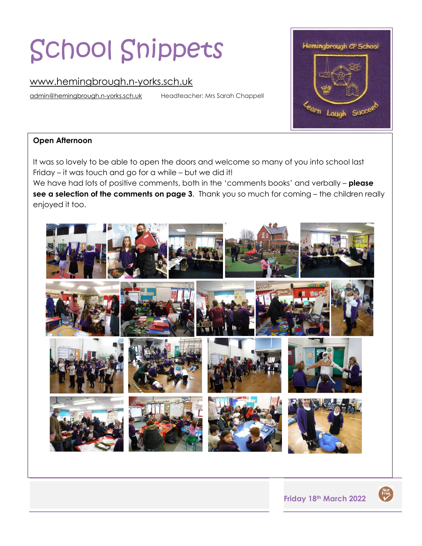# School Snippets

### [www.hemingbrough.n-yorks.sch.uk](http://www.hemingbrough.n-yorks.sch.uk/)

[admin@hemingbrough.n-yorks.sch.uk](mailto:admin@hemingbrough.n-yorks.sch.uk) Headteacher: Mrs Sarah Chappell



#### **Open Afternoon**

It was so lovely to be able to open the doors and welcome so many of you into school last Friday – it was touch and go for a while – but we did it!

We have had lots of positive comments, both in the 'comments books' and verbally – **please see a selection of the comments on page 3**. Thank you so much for coming – the children really enjoyed it too.



Nut<br>Free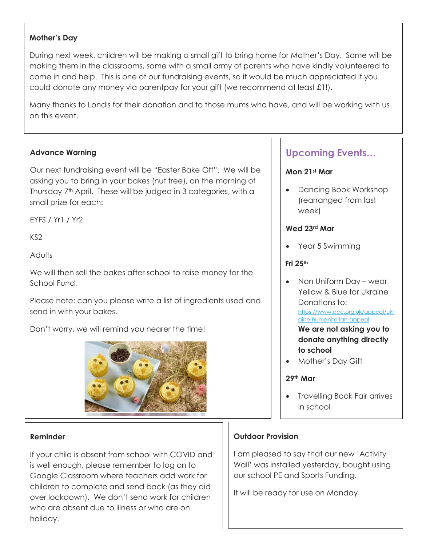#### **Mother's Day**

During next week, children will be making a small gift to bring home for Mother's Day. Some will be making them in the classrooms, some with a small army of parents who have kindly volunteered to come in and help. This is one of our fundraising events, so it would be much appreciated if you could donate any money via parentpay for your gift (we recommend at least £1!).

Many thanks to Londis for their donation and to those mums who have, and will be working with us on this event.

#### **Advance Warning**

Our next fundraising event will be "Easter Bake Off". We will be asking you to bring in your bakes (nut free), on the morning of Thursday 7<sup>th</sup> April. These will be judged in 3 categories, with a small prize for each:

EYFS / Yr1 / Yr2

KS2

**Adults** 

We will then sell the bakes after school to raise money for the School Fund.

Please note: can you please write a list of ingredients used and send in with your bakes.

Don't worry, we will remind you nearer the time!



#### **Reminder**

If your child is absent from school with COVID and is well enough, please remember to log on to Google Classroom where teachers add work for children to complete and send back (as they did over lockdown). We don't send work for children who are absent due to illness or who are on holiday.

## **Upcoming Events…**

#### **Mon 21st Mar**

• Dancing Book Workshop (rearranged from last week)

#### **Wed 23rd Mar**

• Year 5 Swimming

#### **Fri 25th**

- Non Uniform Day wear Yellow & Blue for Ukraine Donations to: [https://www.dec.org.uk/appeal/ukr](https://www.dec.org.uk/appeal/ukraine-humanitarian-appeal) [aine-humanitarian-appeal](https://www.dec.org.uk/appeal/ukraine-humanitarian-appeal) **We are not asking you to donate anything directly**
- **to school**  • Mother's Day Gift

#### **29th Mar**

• Travelling Book Fair arrives in school

#### **Outdoor Provision**

I am pleased to say that our new 'Activity Wall' was installed yesterday, bought using our school PE and Sports Funding.

It will be ready for use on Monday